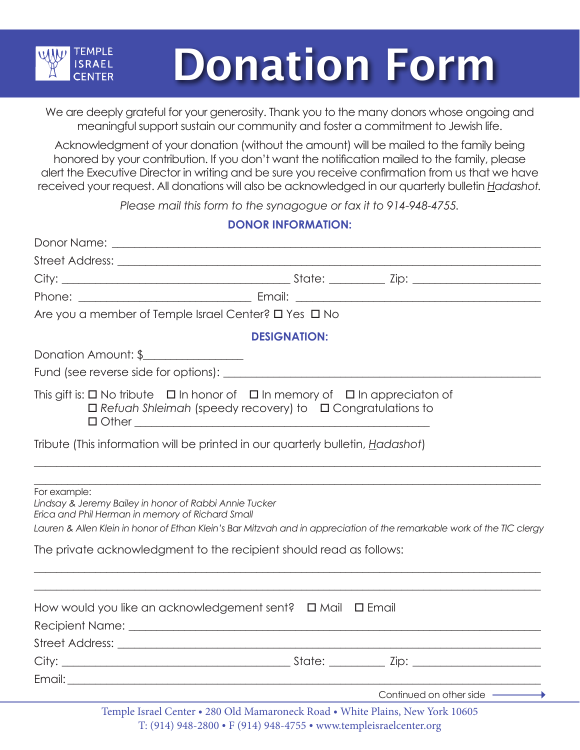

# Donation Form

We are deeply grateful for your generosity. Thank you to the many donors whose ongoing and meaningful support sustain our community and foster a commitment to Jewish life.

Acknowledgment of your donation (without the amount) will be mailed to the family being honored by your contribution. If you don't want the notification mailed to the family, please alert the Executive Director in writing and be sure you receive confirmation from us that we have received your request. All donations will also be acknowledged in our quarterly bulletin *Hadashot.*

*Please mail this form to the synagogue or fax it to 914-948-4755.*

# **DONOR INFORMATION:**

|                                                                                                                            | Are you a member of Temple Israel Center? O Yes O No                                                                                                                                 |
|----------------------------------------------------------------------------------------------------------------------------|--------------------------------------------------------------------------------------------------------------------------------------------------------------------------------------|
|                                                                                                                            | <b>DESIGNATION:</b>                                                                                                                                                                  |
| Donation Amount: \$                                                                                                        |                                                                                                                                                                                      |
|                                                                                                                            |                                                                                                                                                                                      |
|                                                                                                                            | This gift is: $\square$ No tribute $\square$ In honor of $\square$ In memory of $\square$ In appreciaton of<br>$\Box$ Refuah Shleimah (speedy recovery) to $\Box$ Congratulations to |
|                                                                                                                            | Tribute (This information will be printed in our quarterly bulletin, Hadashot)                                                                                                       |
| For example:<br>Lindsay & Jeremy Bailey in honor of Rabbi Annie Tucker<br>Erica and Phil Herman in memory of Richard Small | Lauren & Allen Klein in honor of Ethan Klein's Bar Mitzvah and in appreciation of the remarkable work of the TIC clergy                                                              |
|                                                                                                                            | The private acknowledgment to the recipient should read as follows:                                                                                                                  |
|                                                                                                                            |                                                                                                                                                                                      |
|                                                                                                                            |                                                                                                                                                                                      |
|                                                                                                                            |                                                                                                                                                                                      |
|                                                                                                                            | Continued on other side —————                                                                                                                                                        |
|                                                                                                                            | Temple Israel Center . 280 Old Mamaroneck Road . White Plains, New York 10605                                                                                                        |

T: (914) 948-2800 • F (914) 948-4755 • www.templeisraelcenter.org